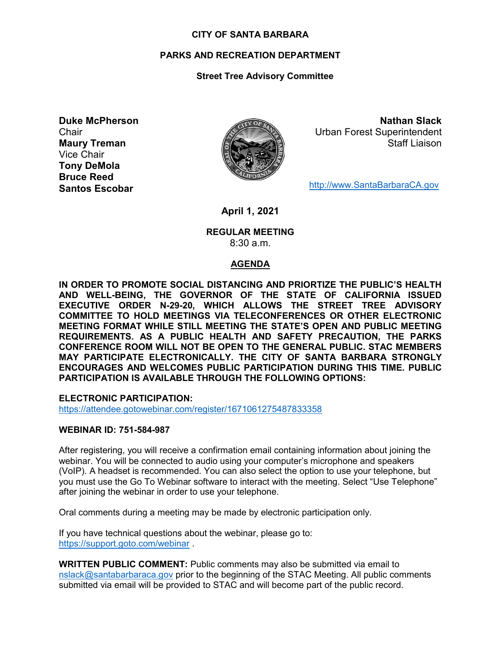#### **CITY OF SANTA BARBARA**

### **PARKS AND RECREATION DEPARTMENT**

### **Street Tree Advisory Committee**

**Duke McPherson Chair Maury Treman** Vice Chair **Tony DeMola Bruce Reed Santos Escobar**



**Nathan Slack** Urban Forest Superintendent Staff Liaison

[http://www.SantaBarbaraCA.gov](http://www.santabarbaraca.gov/)

**April 1, 2021**

#### **REGULAR MEETING** 8:30 a.m.

#### **AGENDA**

**IN ORDER TO PROMOTE SOCIAL DISTANCING AND PRIORTIZE THE PUBLIC'S HEALTH AND WELL-BEING, THE GOVERNOR OF THE STATE OF CALIFORNIA ISSUED EXECUTIVE ORDER N-29-20, WHICH ALLOWS THE STREET TREE ADVISORY COMMITTEE TO HOLD MEETINGS VIA TELECONFERENCES OR OTHER ELECTRONIC MEETING FORMAT WHILE STILL MEETING THE STATE'S OPEN AND PUBLIC MEETING REQUIREMENTS. AS A PUBLIC HEALTH AND SAFETY PRECAUTION, THE PARKS CONFERENCE ROOM WILL NOT BE OPEN TO THE GENERAL PUBLIC. STAC MEMBERS MAY PARTICIPATE ELECTRONICALLY. THE CITY OF SANTA BARBARA STRONGLY ENCOURAGES AND WELCOMES PUBLIC PARTICIPATION DURING THIS TIME. PUBLIC PARTICIPATION IS AVAILABLE THROUGH THE FOLLOWING OPTIONS:**

**ELECTRONIC PARTICIPATION:** 

<https://attendee.gotowebinar.com/register/1671061275487833358>

#### **WEBINAR ID: 751-584-987**

After registering, you will receive a confirmation email containing information about joining the webinar. You will be connected to audio using your computer's microphone and speakers (VoIP). A headset is recommended. You can also select the option to use your telephone, but you must use the Go To Webinar software to interact with the meeting. Select "Use Telephone" after joining the webinar in order to use your telephone.

Oral comments during a meeting may be made by electronic participation only.

If you have technical questions about the webinar, please go to: <https://support.goto.com/webinar>.

**WRITTEN PUBLIC COMMENT:** Public comments may also be submitted via email to [nslack@santabarbaraca.gov](mailto:nslack@santabarbaraca.gov) prior to the beginning of the STAC Meeting. All public comments submitted via email will be provided to STAC and will become part of the public record.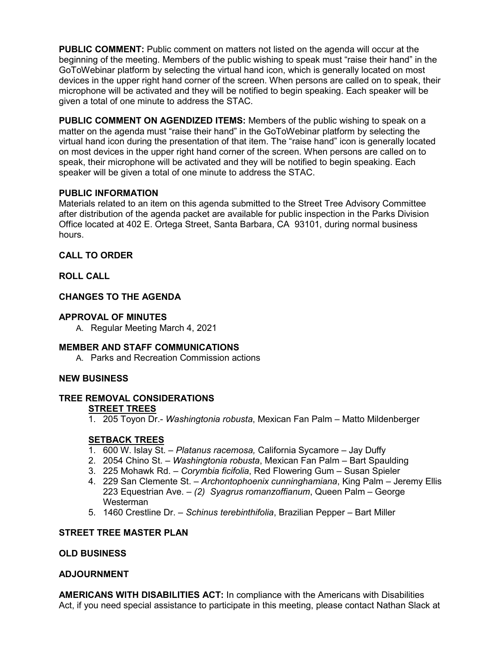**PUBLIC COMMENT:** Public comment on matters not listed on the agenda will occur at the beginning of the meeting. Members of the public wishing to speak must "raise their hand" in the GoToWebinar platform by selecting the virtual hand icon, which is generally located on most devices in the upper right hand corner of the screen. When persons are called on to speak, their microphone will be activated and they will be notified to begin speaking. Each speaker will be given a total of one minute to address the STAC.

**PUBLIC COMMENT ON AGENDIZED ITEMS:** Members of the public wishing to speak on a matter on the agenda must "raise their hand" in the GoToWebinar platform by selecting the virtual hand icon during the presentation of that item. The "raise hand" icon is generally located on most devices in the upper right hand corner of the screen. When persons are called on to speak, their microphone will be activated and they will be notified to begin speaking. Each speaker will be given a total of one minute to address the STAC.

# **PUBLIC INFORMATION**

Materials related to an item on this agenda submitted to the Street Tree Advisory Committee after distribution of the agenda packet are available for public inspection in the Parks Division Office located at 402 E. Ortega Street, Santa Barbara, CA 93101, during normal business hours.

#### **CALL TO ORDER**

#### **ROLL CALL**

# **CHANGES TO THE AGENDA**

#### **APPROVAL OF MINUTES**

A. Regular Meeting March 4, 2021

# **MEMBER AND STAFF COMMUNICATIONS**

A. Parks and Recreation Commission actions

# **NEW BUSINESS**

#### **TREE REMOVAL CONSIDERATIONS STREET TREES**

1. 205 Toyon Dr.- *Washingtonia robusta*, Mexican Fan Palm – Matto Mildenberger

# **SETBACK TREES**

- 1. 600 W. Islay St. *Platanus racemosa,* California Sycamore Jay Duffy
- 2. 2054 Chino St. *Washingtonia robusta*, Mexican Fan Palm Bart Spaulding
- 3. 225 Mohawk Rd. *Corymbia ficifolia*, Red Flowering Gum Susan Spieler
- 4. 229 San Clemente St. *Archontophoenix cunninghamiana*, King Palm Jeremy Ellis 223 Equestrian Ave. – *(2) Syagrus romanzoffianum*, Queen Palm – George Westerman
- 5. 1460 Crestline Dr. *Schinus terebinthifolia*, Brazilian Pepper Bart Miller

# **STREET TREE MASTER PLAN**

#### **OLD BUSINESS**

#### **ADJOURNMENT**

**AMERICANS WITH DISABILITIES ACT:** In compliance with the Americans with Disabilities Act, if you need special assistance to participate in this meeting, please contact Nathan Slack at